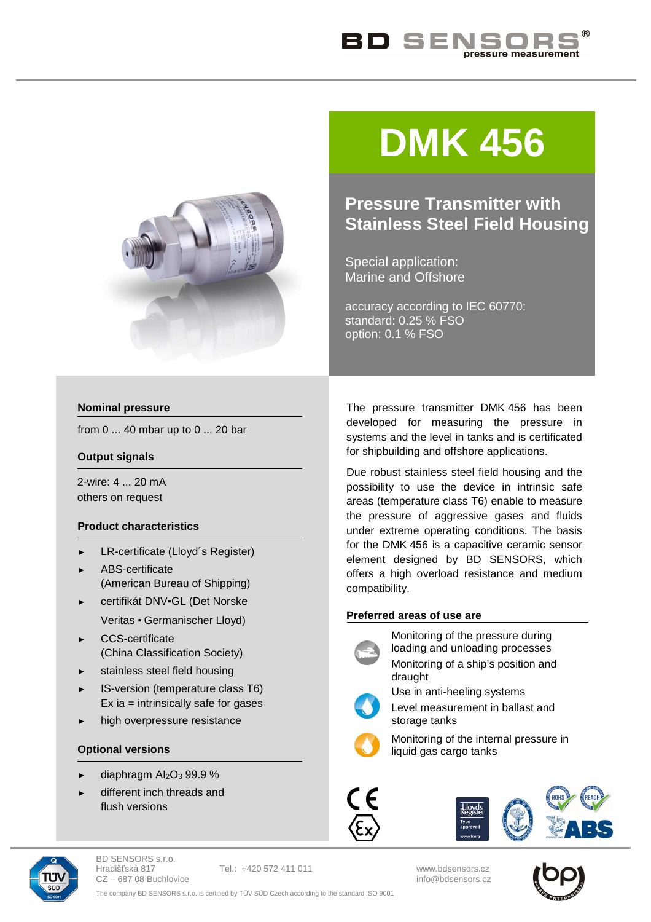



# **DMK 456**

## **Pressure Transmitter with Stainless Steel Field Housing**

Special application: Marine and Offshore

accuracy according to IEC 60770: standard: 0.25 % FSO option: 0.1 % FSO

#### **Nominal pressure**

from 0 ... 40 mbar up to 0 ... 20 bar

#### **Output signals**

2-wire: 4 ... 20 mA others on request

#### **Product characteristics**

- ► LR-certificate (Lloyd´s Register)
- ► ABS-certificate (American Bureau of Shipping)
- certifikát DNV·GL (Det Norske Veritas ▪ Germanischer Lloyd)
- ► CCS-certificate (China Classification Society)
- ► stainless steel field housing
- ► IS-version (temperature class T6)  $Ex$  ia = intrinsically safe for gases
- high overpressure resistance

#### **Optional versions**

- diaphragm Al<sub>2</sub>O<sub>3</sub> 99.9 %
- different inch threads and flush versions

The pressure transmitter DMK 456 has been developed for measuring the pressure in systems and the level in tanks and is certificated for shipbuilding and offshore applications.

Due robust stainless steel field housing and the possibility to use the device in intrinsic safe areas (temperature class T6) enable to measure the pressure of aggressive gases and fluids under extreme operating conditions. The basis for the DMK 456 is a capacitive ceramic sensor element designed by BD SENSORS, which offers a high overload resistance and medium compatibility.

### **Preferred areas of use are**



Monitoring of the pressure during loading and unloading processes Monitoring of a ship's position and



draught

Use in anti-heeling systems

Level measurement in ballast and storage tanks



Monitoring of the internal pressure in liquid gas cargo tanks





BD SENSORS s.r.o. Hradišťská 817 Tel.: +420 572 411 011 www.bdsensors.cz  $CZ - 68708$  Buchlovice



The company BD SENSORS s.r.o. is certified by TÜV SÜD Czech according to the standard ISO 9001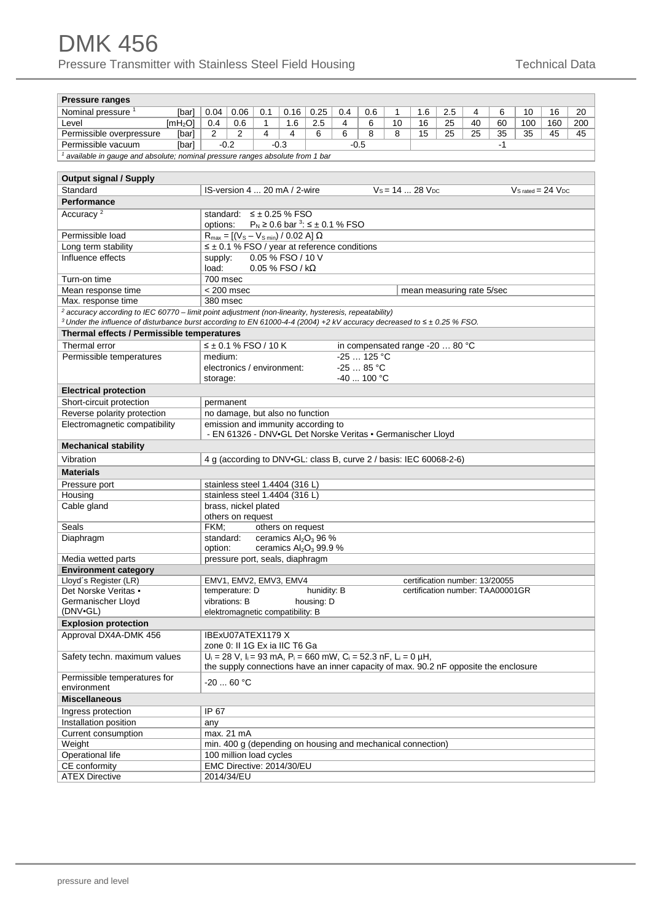| <b>Pressure ranges</b>                                                                                                                    |                                                                                                        |                         |     |                                                                                      |             |     |                                                                    |    |                                  |     |    |      |                       |     |     |
|-------------------------------------------------------------------------------------------------------------------------------------------|--------------------------------------------------------------------------------------------------------|-------------------------|-----|--------------------------------------------------------------------------------------|-------------|-----|--------------------------------------------------------------------|----|----------------------------------|-----|----|------|-----------------------|-----|-----|
| Nominal pressure <sup>1</sup><br>[bar]                                                                                                    | 0.04                                                                                                   | 0.06                    | 0.1 | 0.16                                                                                 | 0.25        | 0.4 | 0.6                                                                | 1  | 1.6                              | 2.5 | 4  | 6    | 10                    | 16  | 20  |
| Level<br>[mh <sub>2</sub> O]                                                                                                              | 0.4                                                                                                    | 0.6                     | 1   | 1.6                                                                                  | 2.5         | 4   | 6                                                                  | 10 | 16                               | 25  | 40 | 60   | 100                   | 160 | 200 |
| Permissible overpressure<br>[bar]                                                                                                         | 2                                                                                                      | 2                       | 4   | 4                                                                                    | 6           | 6   | 8                                                                  | 8  | 15                               | 25  | 25 | 35   | 35                    | 45  | 45  |
| Permissible vacuum<br>[bar]                                                                                                               | $-0.2$                                                                                                 |                         |     | $-0.3$                                                                               |             |     | $-0.5$                                                             |    |                                  |     |    | $-1$ |                       |     |     |
| <sup>1</sup> available in gauge and absolute; nominal pressure ranges absolute from 1 bar                                                 |                                                                                                        |                         |     |                                                                                      |             |     |                                                                    |    |                                  |     |    |      |                       |     |     |
|                                                                                                                                           |                                                                                                        |                         |     |                                                                                      |             |     |                                                                    |    |                                  |     |    |      |                       |     |     |
| <b>Output signal / Supply</b>                                                                                                             |                                                                                                        |                         |     |                                                                                      |             |     |                                                                    |    |                                  |     |    |      |                       |     |     |
| Standard                                                                                                                                  |                                                                                                        |                         |     | IS-version 4  20 mA / 2-wire                                                         |             |     |                                                                    |    | $Vs = 1428 VDC$                  |     |    |      | $Vs$ rated = 24 $Vnc$ |     |     |
| <b>Performance</b>                                                                                                                        |                                                                                                        |                         |     |                                                                                      |             |     |                                                                    |    |                                  |     |    |      |                       |     |     |
| Accuracy <sup>2</sup>                                                                                                                     |                                                                                                        |                         |     |                                                                                      |             |     |                                                                    |    |                                  |     |    |      |                       |     |     |
|                                                                                                                                           | standard: $\leq \pm 0.25$ % FSO<br>$P_N \ge 0.6$ bar <sup>3</sup> : $\le \pm 0.1$ % FSO<br>options:    |                         |     |                                                                                      |             |     |                                                                    |    |                                  |     |    |      |                       |     |     |
| Permissible load                                                                                                                          |                                                                                                        |                         |     |                                                                                      |             |     |                                                                    |    |                                  |     |    |      |                       |     |     |
| Long term stability                                                                                                                       | $R_{max} = [(V_s - V_{s min}) / 0.02 A] \Omega$<br>$\leq \pm 0.1$ % FSO / year at reference conditions |                         |     |                                                                                      |             |     |                                                                    |    |                                  |     |    |      |                       |     |     |
| Influence effects                                                                                                                         | supply:                                                                                                |                         |     | 0.05 % FSO / 10 V                                                                    |             |     |                                                                    |    |                                  |     |    |      |                       |     |     |
|                                                                                                                                           | load:                                                                                                  |                         |     | $0.05$ % FSO / k $\Omega$                                                            |             |     |                                                                    |    |                                  |     |    |      |                       |     |     |
| Turn-on time                                                                                                                              | 700 msec                                                                                               |                         |     |                                                                                      |             |     |                                                                    |    |                                  |     |    |      |                       |     |     |
| Mean response time                                                                                                                        | $< 200$ msec<br>mean measuring rate 5/sec                                                              |                         |     |                                                                                      |             |     |                                                                    |    |                                  |     |    |      |                       |     |     |
| Max. response time                                                                                                                        | 380 msec                                                                                               |                         |     |                                                                                      |             |     |                                                                    |    |                                  |     |    |      |                       |     |     |
| $2$ accuracy according to IEC 60770 – limit point adjustment (non-linearity, hysteresis, repeatability)                                   |                                                                                                        |                         |     |                                                                                      |             |     |                                                                    |    |                                  |     |    |      |                       |     |     |
| <sup>3</sup> Under the influence of disturbance burst according to EN 61000-4-4 (2004) +2 kV accuracy decreased to $\leq \pm 0.25$ % FSO. |                                                                                                        |                         |     |                                                                                      |             |     |                                                                    |    |                                  |     |    |      |                       |     |     |
| Thermal effects / Permissible temperatures                                                                                                |                                                                                                        |                         |     |                                                                                      |             |     |                                                                    |    |                                  |     |    |      |                       |     |     |
| Thermal error                                                                                                                             | $\leq \pm 0.1$ % FSO / 10 K                                                                            |                         |     |                                                                                      |             |     | in compensated range $-2080$ °C                                    |    |                                  |     |    |      |                       |     |     |
| Permissible temperatures                                                                                                                  | medium:                                                                                                |                         |     |                                                                                      |             |     | $-25125 °C$                                                        |    |                                  |     |    |      |                       |     |     |
|                                                                                                                                           |                                                                                                        |                         |     | electronics / environment:                                                           |             |     | $-2585 °C$                                                         |    |                                  |     |    |      |                       |     |     |
|                                                                                                                                           | storage:                                                                                               |                         |     |                                                                                      |             |     | $-40$ 100 °C                                                       |    |                                  |     |    |      |                       |     |     |
| <b>Electrical protection</b>                                                                                                              |                                                                                                        |                         |     |                                                                                      |             |     |                                                                    |    |                                  |     |    |      |                       |     |     |
| Short-circuit protection                                                                                                                  | permanent                                                                                              |                         |     |                                                                                      |             |     |                                                                    |    |                                  |     |    |      |                       |     |     |
| Reverse polarity protection                                                                                                               |                                                                                                        |                         |     | no damage, but also no function                                                      |             |     |                                                                    |    |                                  |     |    |      |                       |     |     |
| Electromagnetic compatibility                                                                                                             |                                                                                                        |                         |     | emission and immunity according to                                                   |             |     |                                                                    |    |                                  |     |    |      |                       |     |     |
| <b>Mechanical stability</b>                                                                                                               |                                                                                                        |                         |     | - EN 61326 - DNV-GL Det Norske Veritas - Germanischer Lloyd                          |             |     |                                                                    |    |                                  |     |    |      |                       |     |     |
|                                                                                                                                           |                                                                                                        |                         |     |                                                                                      |             |     |                                                                    |    |                                  |     |    |      |                       |     |     |
|                                                                                                                                           |                                                                                                        |                         |     |                                                                                      |             |     |                                                                    |    |                                  |     |    |      |                       |     |     |
| Vibration                                                                                                                                 |                                                                                                        |                         |     |                                                                                      |             |     | 4 g (according to DNV-GL: class B, curve 2 / basis: IEC 60068-2-6) |    |                                  |     |    |      |                       |     |     |
| <b>Materials</b>                                                                                                                          |                                                                                                        |                         |     |                                                                                      |             |     |                                                                    |    |                                  |     |    |      |                       |     |     |
| Pressure port                                                                                                                             |                                                                                                        |                         |     | stainless steel 1.4404 (316 L)                                                       |             |     |                                                                    |    |                                  |     |    |      |                       |     |     |
| Housing                                                                                                                                   |                                                                                                        |                         |     | stainless steel 1.4404 (316 L)                                                       |             |     |                                                                    |    |                                  |     |    |      |                       |     |     |
| Cable gland                                                                                                                               |                                                                                                        | brass, nickel plated    |     |                                                                                      |             |     |                                                                    |    |                                  |     |    |      |                       |     |     |
|                                                                                                                                           |                                                                                                        | others on request       |     |                                                                                      |             |     |                                                                    |    |                                  |     |    |      |                       |     |     |
| Seals                                                                                                                                     | FKM:                                                                                                   |                         |     | others on request                                                                    |             |     |                                                                    |    |                                  |     |    |      |                       |     |     |
| Diaphragm                                                                                                                                 | standard:                                                                                              |                         |     | ceramics Al <sub>2</sub> O <sub>3</sub> 96 %                                         |             |     |                                                                    |    |                                  |     |    |      |                       |     |     |
|                                                                                                                                           | option:                                                                                                |                         |     | ceramics Al <sub>2</sub> O <sub>3</sub> 99.9 %                                       |             |     |                                                                    |    |                                  |     |    |      |                       |     |     |
| Media wetted parts<br><b>Environment category</b>                                                                                         |                                                                                                        |                         |     | pressure port, seals, diaphragm                                                      |             |     |                                                                    |    |                                  |     |    |      |                       |     |     |
| Lloyd's Register (LR)                                                                                                                     |                                                                                                        |                         |     | EMV1, EMV2, EMV3, EMV4                                                               |             |     |                                                                    |    | certification number: 13/20055   |     |    |      |                       |     |     |
| Det Norske Veritas •                                                                                                                      |                                                                                                        | temperature: D          |     |                                                                                      | hunidity: B |     |                                                                    |    | certification number: TAA00001GR |     |    |      |                       |     |     |
| Germanischer Lloyd                                                                                                                        | vibrations: B                                                                                          |                         |     |                                                                                      | housing: D  |     |                                                                    |    |                                  |     |    |      |                       |     |     |
| (DNV-GL)                                                                                                                                  |                                                                                                        |                         |     | elektromagnetic compatibility: B                                                     |             |     |                                                                    |    |                                  |     |    |      |                       |     |     |
| <b>Explosion protection</b>                                                                                                               |                                                                                                        |                         |     |                                                                                      |             |     |                                                                    |    |                                  |     |    |      |                       |     |     |
| Approval DX4A-DMK 456                                                                                                                     |                                                                                                        | IBExU07ATEX1179 X       |     |                                                                                      |             |     |                                                                    |    |                                  |     |    |      |                       |     |     |
|                                                                                                                                           |                                                                                                        |                         |     | zone 0: Il 1G Ex ia IIC T6 Ga                                                        |             |     |                                                                    |    |                                  |     |    |      |                       |     |     |
| Safety techn. maximum values                                                                                                              |                                                                                                        |                         |     | $U_i = 28$ V, $I_i = 93$ mA, $P_i = 660$ mW, $C_i = 52.3$ nF, $L_i = 0$ µH,          |             |     |                                                                    |    |                                  |     |    |      |                       |     |     |
|                                                                                                                                           |                                                                                                        |                         |     | the supply connections have an inner capacity of max. 90.2 nF opposite the enclosure |             |     |                                                                    |    |                                  |     |    |      |                       |     |     |
| Permissible temperatures for                                                                                                              | $-20$ 60 °C                                                                                            |                         |     |                                                                                      |             |     |                                                                    |    |                                  |     |    |      |                       |     |     |
| environment                                                                                                                               |                                                                                                        |                         |     |                                                                                      |             |     |                                                                    |    |                                  |     |    |      |                       |     |     |
| <b>Miscellaneous</b>                                                                                                                      |                                                                                                        |                         |     |                                                                                      |             |     |                                                                    |    |                                  |     |    |      |                       |     |     |
| Ingress protection                                                                                                                        | IP 67                                                                                                  |                         |     |                                                                                      |             |     |                                                                    |    |                                  |     |    |      |                       |     |     |
| Installation position                                                                                                                     | any                                                                                                    |                         |     |                                                                                      |             |     |                                                                    |    |                                  |     |    |      |                       |     |     |
| Current consumption                                                                                                                       | max. 21 mA                                                                                             |                         |     |                                                                                      |             |     |                                                                    |    |                                  |     |    |      |                       |     |     |
| Weight<br>Operational life                                                                                                                |                                                                                                        | 100 million load cycles |     | min. 400 g (depending on housing and mechanical connection)                          |             |     |                                                                    |    |                                  |     |    |      |                       |     |     |
| CE conformity                                                                                                                             |                                                                                                        |                         |     | EMC Directive: 2014/30/EU                                                            |             |     |                                                                    |    |                                  |     |    |      |                       |     |     |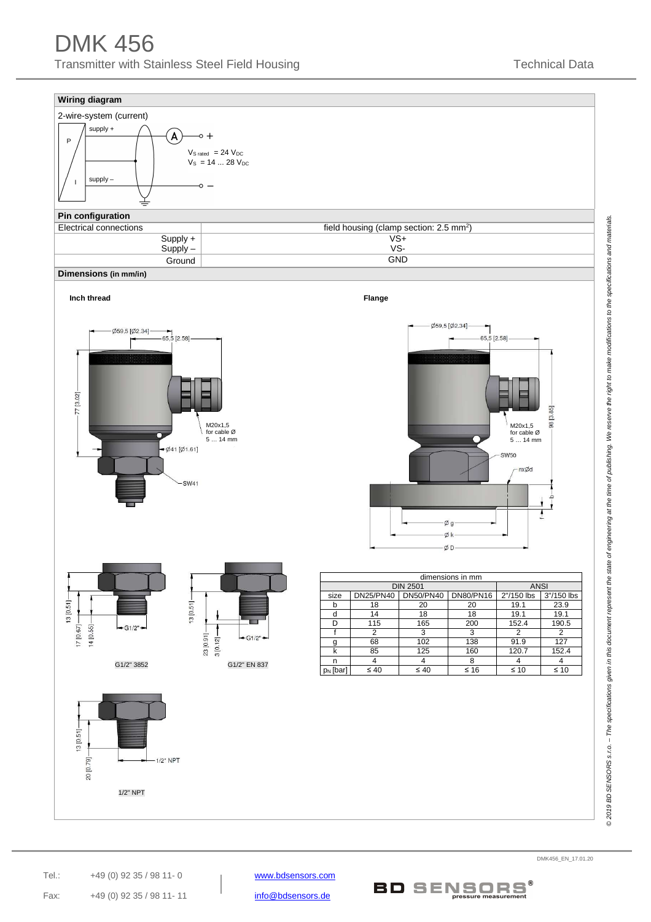# DMK 456 Transmitter with Stainless Steel Field Housing Technical Data

#### **Wiring diagram**



#### **Pin configuration**

| Electrical connections | field housing (clamp section: $2.5 \text{ mm}^2$ ) |
|------------------------|----------------------------------------------------|
| $Supply +$             | VS+                                                |
| $Supplv -$             | vs-                                                |
| Ground                 | <b>GND</b>                                         |
| Dimensions (in mm/in)  |                                                    |









| dimensions in mm |                  |                  |                  |            |            |  |  |  |
|------------------|------------------|------------------|------------------|------------|------------|--|--|--|
|                  | <b>DIN 2501</b>  | <b>ANSI</b>      |                  |            |            |  |  |  |
| size             | <b>DN25/PN40</b> | <b>DN50/PN40</b> | <b>DN80/PN16</b> | 2"/150 lbs | 3"/150 lbs |  |  |  |
| b                | 18               | 20               | 20               | 19.1       | 23.9       |  |  |  |
| d                | 14               | 18               | 18               | 19.1       | 19.1       |  |  |  |
| D                | 115              | 165              | 200              | 152.4      | 190.5      |  |  |  |
|                  | 2                | 3                | 3                | 2          | 2          |  |  |  |
| g                | 68               | 102              | 138              | 91.9       | 127        |  |  |  |
| k                | 85               | 125              | 160              | 120.7      | 152.4      |  |  |  |
| n                |                  |                  | 8                |            |            |  |  |  |
| $p_N$ [bar]      | $\leq 40$        | $\leq 40$        | ≤ 16             | $\leq 10$  | $\leq 10$  |  |  |  |

©2019 BD SENSORS s.r.o. – The specifications given in this document represent the state of engineering at the time of publishing. We reserve the right to make modifications to the specifications and materials. © 2019 BD SENSORS s.r.o. – The specifications given in this document represent the state of engineering at the time of publishing. We reserve the right to make modifications to the specifications and materials.